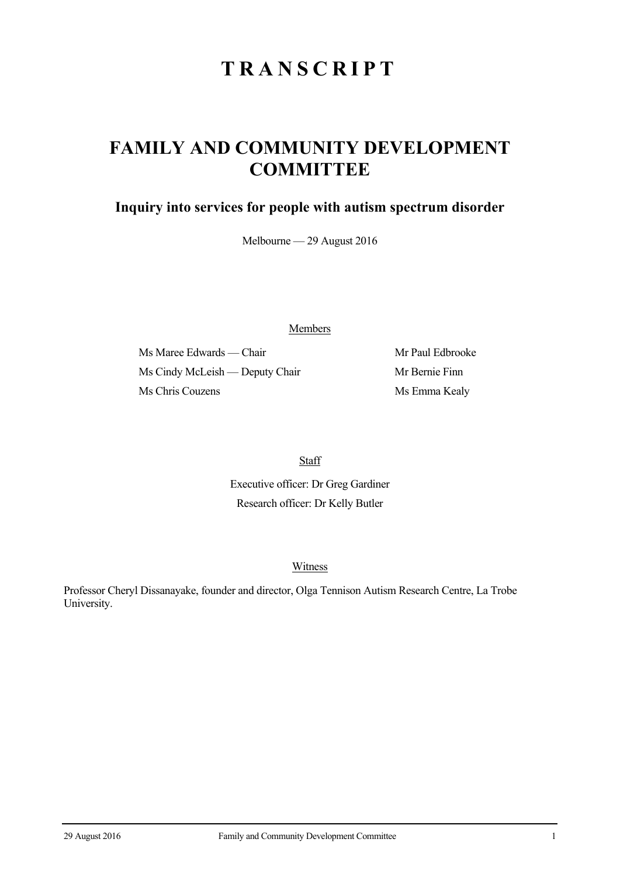# **TRANSCRIPT**

## **FAMILY AND COMMUNITY DEVELOPMENT COMMITTEE**

### **Inquiry into services for people with autism spectrum disorder**

Melbourne — 29 August 2016

Members

Ms Maree Edwards — Chair Mr Paul Edbrooke Ms Cindy McLeish — Deputy Chair Mr Bernie Finn Ms Chris Couzens Ms Emma Kealy

**Staff** 

Executive officer: Dr Greg Gardiner Research officer: Dr Kelly Butler

#### Witness

Professor Cheryl Dissanayake, founder and director, Olga Tennison Autism Research Centre, La Trobe University.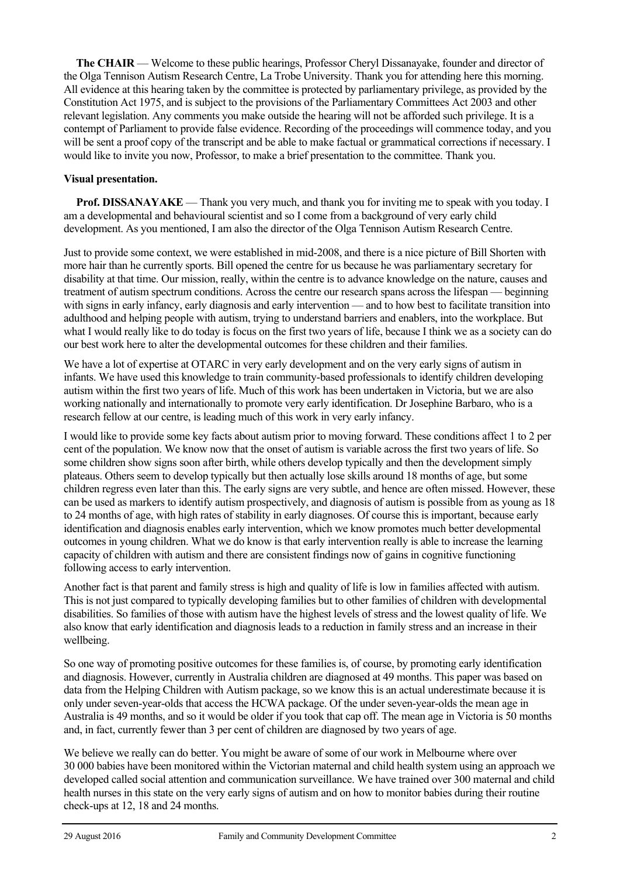**The CHAIR** — Welcome to these public hearings, Professor Cheryl Dissanayake, founder and director of the Olga Tennison Autism Research Centre, La Trobe University. Thank you for attending here this morning. All evidence at this hearing taken by the committee is protected by parliamentary privilege, as provided by the Constitution Act 1975, and is subject to the provisions of the Parliamentary Committees Act 2003 and other relevant legislation. Any comments you make outside the hearing will not be afforded such privilege. It is a contempt of Parliament to provide false evidence. Recording of the proceedings will commence today, and you will be sent a proof copy of the transcript and be able to make factual or grammatical corrections if necessary. I would like to invite you now, Professor, to make a brief presentation to the committee. Thank you.

#### **Visual presentation.**

**Prof. DISSANAYAKE** — Thank you very much, and thank you for inviting me to speak with you today. I am a developmental and behavioural scientist and so I come from a background of very early child development. As you mentioned, I am also the director of the Olga Tennison Autism Research Centre.

Just to provide some context, we were established in mid-2008, and there is a nice picture of Bill Shorten with more hair than he currently sports. Bill opened the centre for us because he was parliamentary secretary for disability at that time. Our mission, really, within the centre is to advance knowledge on the nature, causes and treatment of autism spectrum conditions. Across the centre our research spans across the lifespan — beginning with signs in early infancy, early diagnosis and early intervention — and to how best to facilitate transition into adulthood and helping people with autism, trying to understand barriers and enablers, into the workplace. But what I would really like to do today is focus on the first two years of life, because I think we as a society can do our best work here to alter the developmental outcomes for these children and their families.

We have a lot of expertise at OTARC in very early development and on the very early signs of autism in infants. We have used this knowledge to train community-based professionals to identify children developing autism within the first two years of life. Much of this work has been undertaken in Victoria, but we are also working nationally and internationally to promote very early identification. Dr Josephine Barbaro, who is a research fellow at our centre, is leading much of this work in very early infancy.

I would like to provide some key facts about autism prior to moving forward. These conditions affect 1 to 2 per cent of the population. We know now that the onset of autism is variable across the first two years of life. So some children show signs soon after birth, while others develop typically and then the development simply plateaus. Others seem to develop typically but then actually lose skills around 18 months of age, but some children regress even later than this. The early signs are very subtle, and hence are often missed. However, these can be used as markers to identify autism prospectively, and diagnosis of autism is possible from as young as 18 to 24 months of age, with high rates of stability in early diagnoses. Of course this is important, because early identification and diagnosis enables early intervention, which we know promotes much better developmental outcomes in young children. What we do know is that early intervention really is able to increase the learning capacity of children with autism and there are consistent findings now of gains in cognitive functioning following access to early intervention.

Another fact is that parent and family stress is high and quality of life is low in families affected with autism. This is not just compared to typically developing families but to other families of children with developmental disabilities. So families of those with autism have the highest levels of stress and the lowest quality of life. We also know that early identification and diagnosis leads to a reduction in family stress and an increase in their wellbeing.

So one way of promoting positive outcomes for these families is, of course, by promoting early identification and diagnosis. However, currently in Australia children are diagnosed at 49 months. This paper was based on data from the Helping Children with Autism package, so we know this is an actual underestimate because it is only under seven-year-olds that access the HCWA package. Of the under seven-year-olds the mean age in Australia is 49 months, and so it would be older if you took that cap off. The mean age in Victoria is 50 months and, in fact, currently fewer than 3 per cent of children are diagnosed by two years of age.

We believe we really can do better. You might be aware of some of our work in Melbourne where over 30 000 babies have been monitored within the Victorian maternal and child health system using an approach we developed called social attention and communication surveillance. We have trained over 300 maternal and child health nurses in this state on the very early signs of autism and on how to monitor babies during their routine check-ups at 12, 18 and 24 months.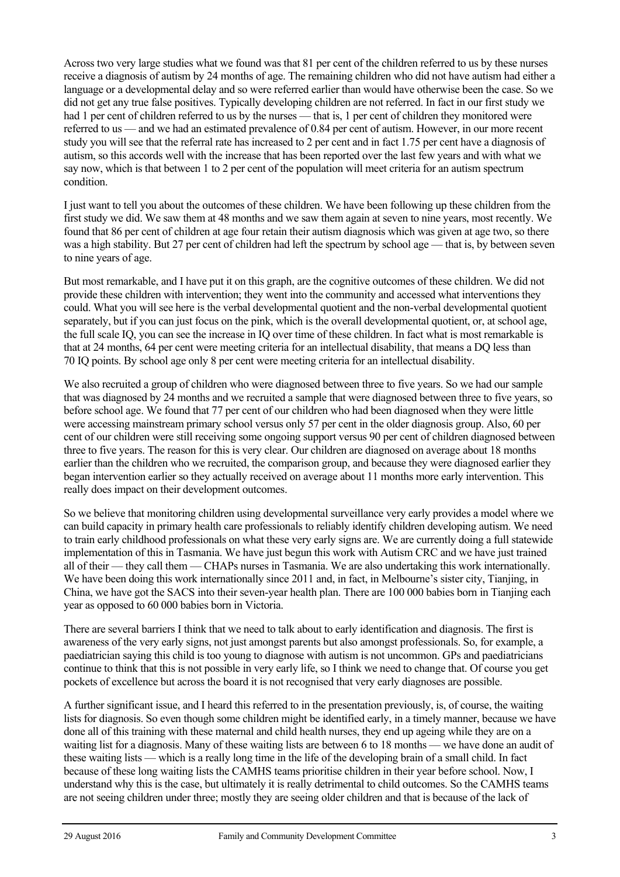Across two very large studies what we found was that 81 per cent of the children referred to us by these nurses receive a diagnosis of autism by 24 months of age. The remaining children who did not have autism had either a language or a developmental delay and so were referred earlier than would have otherwise been the case. So we did not get any true false positives. Typically developing children are not referred. In fact in our first study we had 1 per cent of children referred to us by the nurses — that is, 1 per cent of children they monitored were referred to us — and we had an estimated prevalence of 0.84 per cent of autism. However, in our more recent study you will see that the referral rate has increased to 2 per cent and in fact 1.75 per cent have a diagnosis of autism, so this accords well with the increase that has been reported over the last few years and with what we say now, which is that between 1 to 2 per cent of the population will meet criteria for an autism spectrum condition.

I just want to tell you about the outcomes of these children. We have been following up these children from the first study we did. We saw them at 48 months and we saw them again at seven to nine years, most recently. We found that 86 per cent of children at age four retain their autism diagnosis which was given at age two, so there was a high stability. But 27 per cent of children had left the spectrum by school age — that is, by between seven to nine years of age.

But most remarkable, and I have put it on this graph, are the cognitive outcomes of these children. We did not provide these children with intervention; they went into the community and accessed what interventions they could. What you will see here is the verbal developmental quotient and the non-verbal developmental quotient separately, but if you can just focus on the pink, which is the overall developmental quotient, or, at school age, the full scale IQ, you can see the increase in IQ over time of these children. In fact what is most remarkable is that at 24 months, 64 per cent were meeting criteria for an intellectual disability, that means a DQ less than 70 IQ points. By school age only 8 per cent were meeting criteria for an intellectual disability.

We also recruited a group of children who were diagnosed between three to five years. So we had our sample that was diagnosed by 24 months and we recruited a sample that were diagnosed between three to five years, so before school age. We found that 77 per cent of our children who had been diagnosed when they were little were accessing mainstream primary school versus only 57 per cent in the older diagnosis group. Also, 60 per cent of our children were still receiving some ongoing support versus 90 per cent of children diagnosed between three to five years. The reason for this is very clear. Our children are diagnosed on average about 18 months earlier than the children who we recruited, the comparison group, and because they were diagnosed earlier they began intervention earlier so they actually received on average about 11 months more early intervention. This really does impact on their development outcomes.

So we believe that monitoring children using developmental surveillance very early provides a model where we can build capacity in primary health care professionals to reliably identify children developing autism. We need to train early childhood professionals on what these very early signs are. We are currently doing a full statewide implementation of this in Tasmania. We have just begun this work with Autism CRC and we have just trained all of their — they call them — CHAPs nurses in Tasmania. We are also undertaking this work internationally. We have been doing this work internationally since 2011 and, in fact, in Melbourne's sister city, Tianjing, in China, we have got the SACS into their seven-year health plan. There are 100 000 babies born in Tianjing each year as opposed to 60 000 babies born in Victoria.

There are several barriers I think that we need to talk about to early identification and diagnosis. The first is awareness of the very early signs, not just amongst parents but also amongst professionals. So, for example, a paediatrician saying this child is too young to diagnose with autism is not uncommon. GPs and paediatricians continue to think that this is not possible in very early life, so I think we need to change that. Of course you get pockets of excellence but across the board it is not recognised that very early diagnoses are possible.

A further significant issue, and I heard this referred to in the presentation previously, is, of course, the waiting lists for diagnosis. So even though some children might be identified early, in a timely manner, because we have done all of this training with these maternal and child health nurses, they end up ageing while they are on a waiting list for a diagnosis. Many of these waiting lists are between 6 to 18 months — we have done an audit of these waiting lists — which is a really long time in the life of the developing brain of a small child. In fact because of these long waiting lists the CAMHS teams prioritise children in their year before school. Now, I understand why this is the case, but ultimately it is really detrimental to child outcomes. So the CAMHS teams are not seeing children under three; mostly they are seeing older children and that is because of the lack of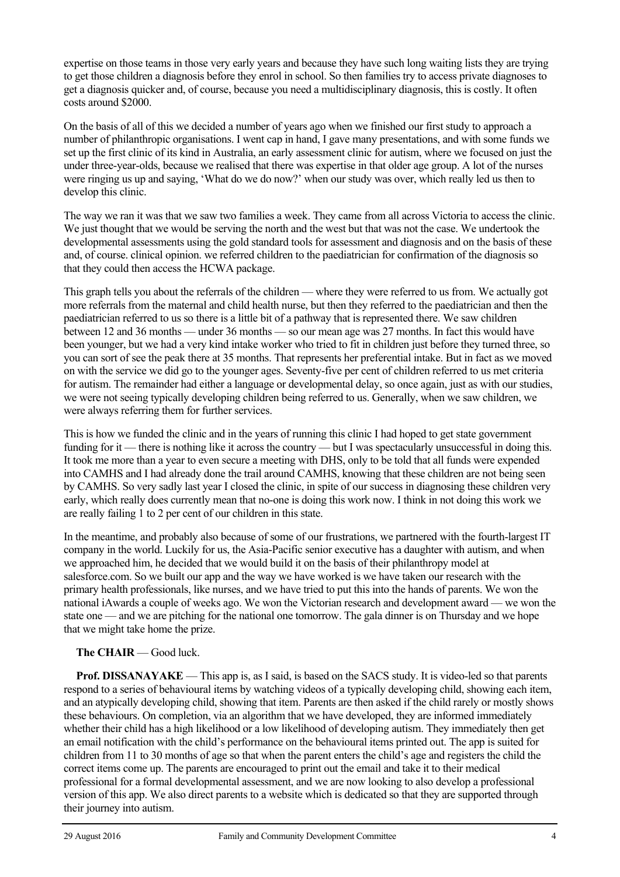expertise on those teams in those very early years and because they have such long waiting lists they are trying to get those children a diagnosis before they enrol in school. So then families try to access private diagnoses to get a diagnosis quicker and, of course, because you need a multidisciplinary diagnosis, this is costly. It often costs around \$2000.

On the basis of all of this we decided a number of years ago when we finished our first study to approach a number of philanthropic organisations. I went cap in hand, I gave many presentations, and with some funds we set up the first clinic of its kind in Australia, an early assessment clinic for autism, where we focused on just the under three-year-olds, because we realised that there was expertise in that older age group. A lot of the nurses were ringing us up and saying, 'What do we do now?' when our study was over, which really led us then to develop this clinic.

The way we ran it was that we saw two families a week. They came from all across Victoria to access the clinic. We just thought that we would be serving the north and the west but that was not the case. We undertook the developmental assessments using the gold standard tools for assessment and diagnosis and on the basis of these and, of course. clinical opinion. we referred children to the paediatrician for confirmation of the diagnosis so that they could then access the HCWA package.

This graph tells you about the referrals of the children — where they were referred to us from. We actually got more referrals from the maternal and child health nurse, but then they referred to the paediatrician and then the paediatrician referred to us so there is a little bit of a pathway that is represented there. We saw children between 12 and 36 months — under 36 months — so our mean age was 27 months. In fact this would have been younger, but we had a very kind intake worker who tried to fit in children just before they turned three, so you can sort of see the peak there at 35 months. That represents her preferential intake. But in fact as we moved on with the service we did go to the younger ages. Seventy-five per cent of children referred to us met criteria for autism. The remainder had either a language or developmental delay, so once again, just as with our studies, we were not seeing typically developing children being referred to us. Generally, when we saw children, we were always referring them for further services.

This is how we funded the clinic and in the years of running this clinic I had hoped to get state government funding for it — there is nothing like it across the country — but I was spectacularly unsuccessful in doing this. It took me more than a year to even secure a meeting with DHS, only to be told that all funds were expended into CAMHS and I had already done the trail around CAMHS, knowing that these children are not being seen by CAMHS. So very sadly last year I closed the clinic, in spite of our success in diagnosing these children very early, which really does currently mean that no-one is doing this work now. I think in not doing this work we are really failing 1 to 2 per cent of our children in this state.

In the meantime, and probably also because of some of our frustrations, we partnered with the fourth-largest IT company in the world. Luckily for us, the Asia-Pacific senior executive has a daughter with autism, and when we approached him, he decided that we would build it on the basis of their philanthropy model at salesforce.com. So we built our app and the way we have worked is we have taken our research with the primary health professionals, like nurses, and we have tried to put this into the hands of parents. We won the national iAwards a couple of weeks ago. We won the Victorian research and development award — we won the state one — and we are pitching for the national one tomorrow. The gala dinner is on Thursday and we hope that we might take home the prize.

#### **The CHAIR** — Good luck.

**Prof. DISSANAYAKE** — This app is, as I said, is based on the SACS study. It is video-led so that parents respond to a series of behavioural items by watching videos of a typically developing child, showing each item, and an atypically developing child, showing that item. Parents are then asked if the child rarely or mostly shows these behaviours. On completion, via an algorithm that we have developed, they are informed immediately whether their child has a high likelihood or a low likelihood of developing autism. They immediately then get an email notification with the child's performance on the behavioural items printed out. The app is suited for children from 11 to 30 months of age so that when the parent enters the child's age and registers the child the correct items come up. The parents are encouraged to print out the email and take it to their medical professional for a formal developmental assessment, and we are now looking to also develop a professional version of this app. We also direct parents to a website which is dedicated so that they are supported through their journey into autism.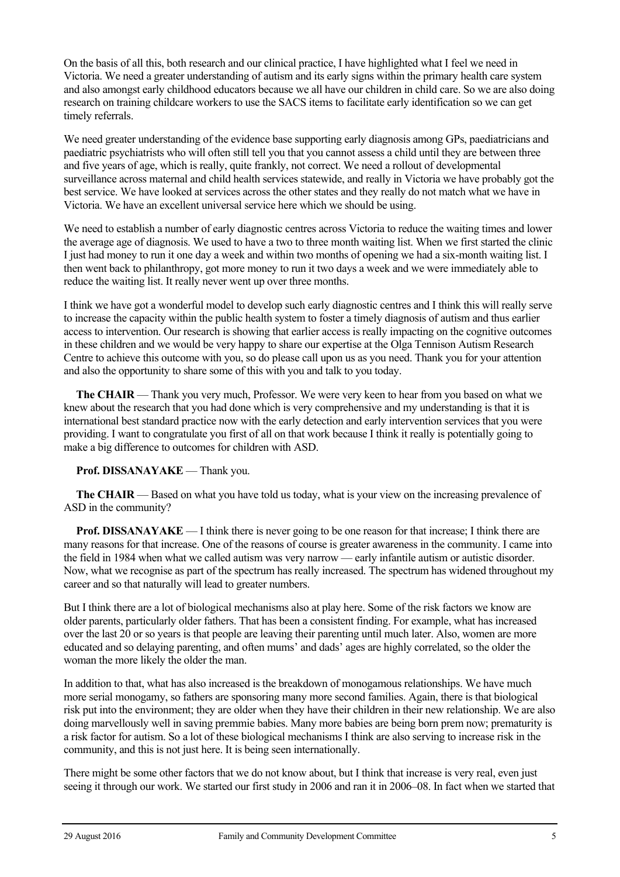On the basis of all this, both research and our clinical practice, I have highlighted what I feel we need in Victoria. We need a greater understanding of autism and its early signs within the primary health care system and also amongst early childhood educators because we all have our children in child care. So we are also doing research on training childcare workers to use the SACS items to facilitate early identification so we can get timely referrals.

We need greater understanding of the evidence base supporting early diagnosis among GPs, paediatricians and paediatric psychiatrists who will often still tell you that you cannot assess a child until they are between three and five years of age, which is really, quite frankly, not correct. We need a rollout of developmental surveillance across maternal and child health services statewide, and really in Victoria we have probably got the best service. We have looked at services across the other states and they really do not match what we have in Victoria. We have an excellent universal service here which we should be using.

We need to establish a number of early diagnostic centres across Victoria to reduce the waiting times and lower the average age of diagnosis. We used to have a two to three month waiting list. When we first started the clinic I just had money to run it one day a week and within two months of opening we had a six-month waiting list. I then went back to philanthropy, got more money to run it two days a week and we were immediately able to reduce the waiting list. It really never went up over three months.

I think we have got a wonderful model to develop such early diagnostic centres and I think this will really serve to increase the capacity within the public health system to foster a timely diagnosis of autism and thus earlier access to intervention. Our research is showing that earlier access is really impacting on the cognitive outcomes in these children and we would be very happy to share our expertise at the Olga Tennison Autism Research Centre to achieve this outcome with you, so do please call upon us as you need. Thank you for your attention and also the opportunity to share some of this with you and talk to you today.

**The CHAIR** — Thank you very much, Professor. We were very keen to hear from you based on what we knew about the research that you had done which is very comprehensive and my understanding is that it is international best standard practice now with the early detection and early intervention services that you were providing. I want to congratulate you first of all on that work because I think it really is potentially going to make a big difference to outcomes for children with ASD.

#### **Prof. DISSANAYAKE** — Thank you.

**The CHAIR** — Based on what you have told us today, what is your view on the increasing prevalence of ASD in the community?

**Prof. DISSANAYAKE** — I think there is never going to be one reason for that increase; I think there are many reasons for that increase. One of the reasons of course is greater awareness in the community. I came into the field in 1984 when what we called autism was very narrow — early infantile autism or autistic disorder. Now, what we recognise as part of the spectrum has really increased. The spectrum has widened throughout my career and so that naturally will lead to greater numbers.

But I think there are a lot of biological mechanisms also at play here. Some of the risk factors we know are older parents, particularly older fathers. That has been a consistent finding. For example, what has increased over the last 20 or so years is that people are leaving their parenting until much later. Also, women are more educated and so delaying parenting, and often mums' and dads' ages are highly correlated, so the older the woman the more likely the older the man.

In addition to that, what has also increased is the breakdown of monogamous relationships. We have much more serial monogamy, so fathers are sponsoring many more second families. Again, there is that biological risk put into the environment; they are older when they have their children in their new relationship. We are also doing marvellously well in saving premmie babies. Many more babies are being born prem now; prematurity is a risk factor for autism. So a lot of these biological mechanisms I think are also serving to increase risk in the community, and this is not just here. It is being seen internationally.

There might be some other factors that we do not know about, but I think that increase is very real, even just seeing it through our work. We started our first study in 2006 and ran it in 2006–08. In fact when we started that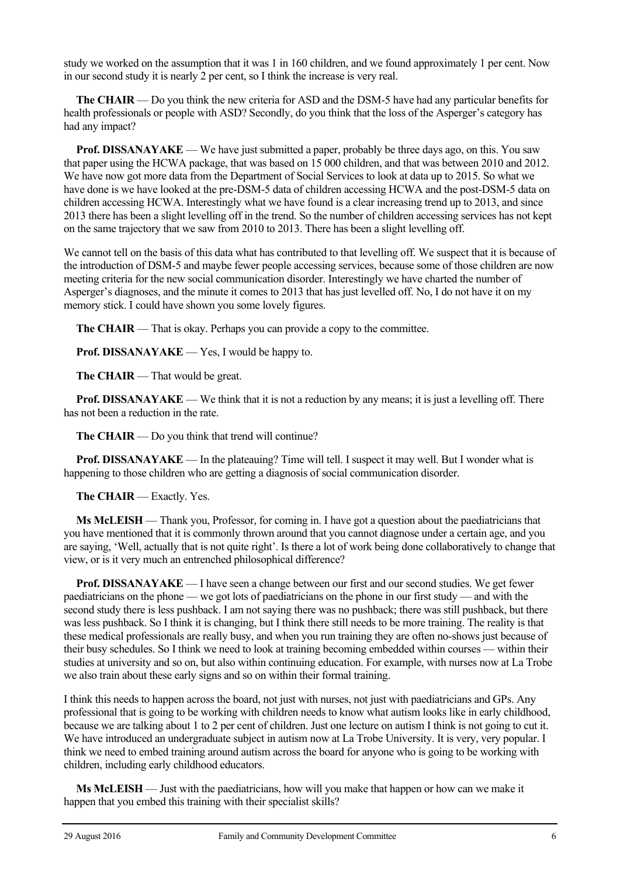study we worked on the assumption that it was 1 in 160 children, and we found approximately 1 per cent. Now in our second study it is nearly 2 per cent, so I think the increase is very real.

**The CHAIR** — Do you think the new criteria for ASD and the DSM-5 have had any particular benefits for health professionals or people with ASD? Secondly, do you think that the loss of the Asperger's category has had any impact?

**Prof. DISSANAYAKE** — We have just submitted a paper, probably be three days ago, on this. You saw that paper using the HCWA package, that was based on 15 000 children, and that was between 2010 and 2012. We have now got more data from the Department of Social Services to look at data up to 2015. So what we have done is we have looked at the pre-DSM-5 data of children accessing HCWA and the post-DSM-5 data on children accessing HCWA. Interestingly what we have found is a clear increasing trend up to 2013, and since 2013 there has been a slight levelling off in the trend. So the number of children accessing services has not kept on the same trajectory that we saw from 2010 to 2013. There has been a slight levelling off.

We cannot tell on the basis of this data what has contributed to that levelling off. We suspect that it is because of the introduction of DSM-5 and maybe fewer people accessing services, because some of those children are now meeting criteria for the new social communication disorder. Interestingly we have charted the number of Asperger's diagnoses, and the minute it comes to 2013 that has just levelled off. No, I do not have it on my memory stick. I could have shown you some lovely figures.

**The CHAIR** — That is okay. Perhaps you can provide a copy to the committee.

**Prof. DISSANAYAKE** — Yes, I would be happy to.

**The CHAIR** — That would be great.

**Prof. DISSANAYAKE** — We think that it is not a reduction by any means; it is just a levelling off. There has not been a reduction in the rate.

**The CHAIR** — Do you think that trend will continue?

**Prof. DISSANAYAKE** — In the plateauing? Time will tell. I suspect it may well. But I wonder what is happening to those children who are getting a diagnosis of social communication disorder.

**The CHAIR** — Exactly. Yes.

**Ms McLEISH** — Thank you, Professor, for coming in. I have got a question about the paediatricians that you have mentioned that it is commonly thrown around that you cannot diagnose under a certain age, and you are saying, 'Well, actually that is not quite right'. Is there a lot of work being done collaboratively to change that view, or is it very much an entrenched philosophical difference?

**Prof. DISSANAYAKE** — I have seen a change between our first and our second studies. We get fewer paediatricians on the phone — we got lots of paediatricians on the phone in our first study — and with the second study there is less pushback. I am not saying there was no pushback; there was still pushback, but there was less pushback. So I think it is changing, but I think there still needs to be more training. The reality is that these medical professionals are really busy, and when you run training they are often no-shows just because of their busy schedules. So I think we need to look at training becoming embedded within courses — within their studies at university and so on, but also within continuing education. For example, with nurses now at La Trobe we also train about these early signs and so on within their formal training.

I think this needs to happen across the board, not just with nurses, not just with paediatricians and GPs. Any professional that is going to be working with children needs to know what autism looks like in early childhood, because we are talking about 1 to 2 per cent of children. Just one lecture on autism I think is not going to cut it. We have introduced an undergraduate subject in autism now at La Trobe University. It is very, very popular. I think we need to embed training around autism across the board for anyone who is going to be working with children, including early childhood educators.

**Ms McLEISH** — Just with the paediatricians, how will you make that happen or how can we make it happen that you embed this training with their specialist skills?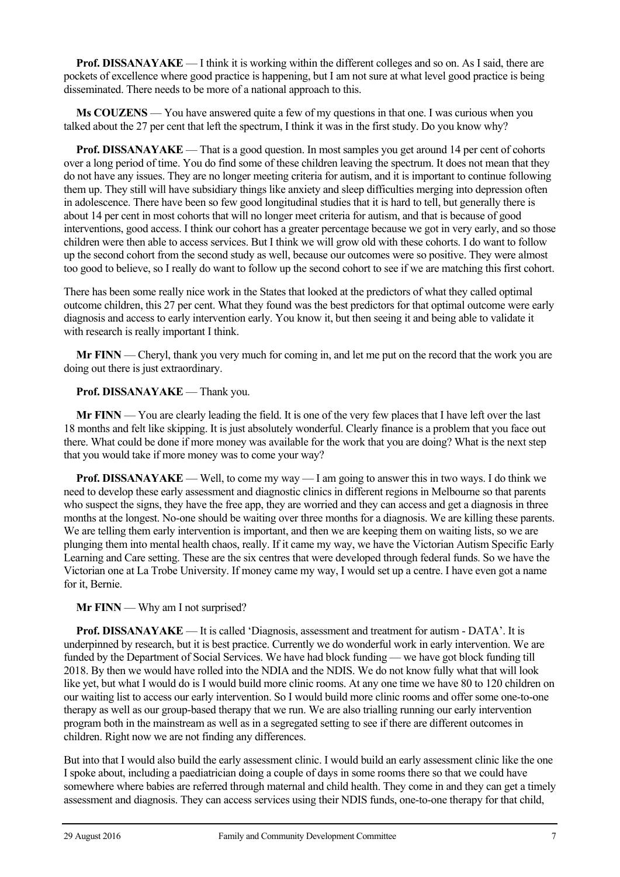**Prof. DISSANAYAKE** — I think it is working within the different colleges and so on. As I said, there are pockets of excellence where good practice is happening, but I am not sure at what level good practice is being disseminated. There needs to be more of a national approach to this.

**Ms COUZENS** — You have answered quite a few of my questions in that one. I was curious when you talked about the 27 per cent that left the spectrum, I think it was in the first study. Do you know why?

**Prof. DISSANAYAKE** — That is a good question. In most samples you get around 14 per cent of cohorts over a long period of time. You do find some of these children leaving the spectrum. It does not mean that they do not have any issues. They are no longer meeting criteria for autism, and it is important to continue following them up. They still will have subsidiary things like anxiety and sleep difficulties merging into depression often in adolescence. There have been so few good longitudinal studies that it is hard to tell, but generally there is about 14 per cent in most cohorts that will no longer meet criteria for autism, and that is because of good interventions, good access. I think our cohort has a greater percentage because we got in very early, and so those children were then able to access services. But I think we will grow old with these cohorts. I do want to follow up the second cohort from the second study as well, because our outcomes were so positive. They were almost too good to believe, so I really do want to follow up the second cohort to see if we are matching this first cohort.

There has been some really nice work in the States that looked at the predictors of what they called optimal outcome children, this 27 per cent. What they found was the best predictors for that optimal outcome were early diagnosis and access to early intervention early. You know it, but then seeing it and being able to validate it with research is really important I think.

**Mr FINN** — Cheryl, thank you very much for coming in, and let me put on the record that the work you are doing out there is just extraordinary.

#### **Prof. DISSANAYAKE** — Thank you.

**Mr FINN** — You are clearly leading the field. It is one of the very few places that I have left over the last 18 months and felt like skipping. It is just absolutely wonderful. Clearly finance is a problem that you face out there. What could be done if more money was available for the work that you are doing? What is the next step that you would take if more money was to come your way?

**Prof. DISSANAYAKE** — Well, to come my way — I am going to answer this in two ways. I do think we need to develop these early assessment and diagnostic clinics in different regions in Melbourne so that parents who suspect the signs, they have the free app, they are worried and they can access and get a diagnosis in three months at the longest. No-one should be waiting over three months for a diagnosis. We are killing these parents. We are telling them early intervention is important, and then we are keeping them on waiting lists, so we are plunging them into mental health chaos, really. If it came my way, we have the Victorian Autism Specific Early Learning and Care setting. These are the six centres that were developed through federal funds. So we have the Victorian one at La Trobe University. If money came my way, I would set up a centre. I have even got a name for it, Bernie.

#### **Mr FINN** — Why am I not surprised?

**Prof. DISSANAYAKE** — It is called 'Diagnosis, assessment and treatment for autism - DATA'. It is underpinned by research, but it is best practice. Currently we do wonderful work in early intervention. We are funded by the Department of Social Services. We have had block funding — we have got block funding till 2018. By then we would have rolled into the NDIA and the NDIS. We do not know fully what that will look like yet, but what I would do is I would build more clinic rooms. At any one time we have 80 to 120 children on our waiting list to access our early intervention. So I would build more clinic rooms and offer some one-to-one therapy as well as our group-based therapy that we run. We are also trialling running our early intervention program both in the mainstream as well as in a segregated setting to see if there are different outcomes in children. Right now we are not finding any differences.

But into that I would also build the early assessment clinic. I would build an early assessment clinic like the one I spoke about, including a paediatrician doing a couple of days in some rooms there so that we could have somewhere where babies are referred through maternal and child health. They come in and they can get a timely assessment and diagnosis. They can access services using their NDIS funds, one-to-one therapy for that child,